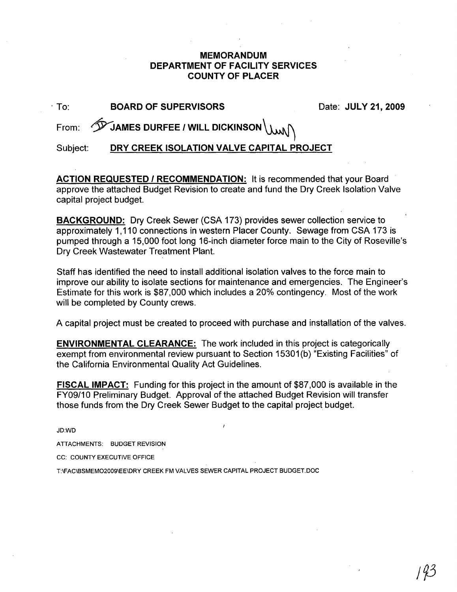## **MEMORANDUM DEPARTMENT OF FACILITY SERVICES COUNTY OF PLACER**

| To:      | <b>BOARD OF SUPERVISORS</b>                                         | Date: JULY 21, 2009 |
|----------|---------------------------------------------------------------------|---------------------|
|          | From: $\hat{\mathscr{D}}$ JAMES DURFEE / WILL DICKINSON $\setminus$ |                     |
| Subject: | DRY CREEK ISOLATION VALVE CAPITAL PROJECT                           |                     |

**ACTION REQUESTED I RECOMMENDATION:** It is recommended that your Board approve the attached Budget Revision to create and fund the Dry Creek Isolation Valve capital project budget.

**BACKGROUND:** Dry Creek Sewer (CSA 173) provides sewer collection service to approximately 1,110 connections in western Placer County. Sewage from CSA 173 is pumped through a 15,000 foot long 16-inch diameter force main to the City of Roseville's Dry Creek Wastewater Treatment Plant.

Staff has identified the need to install additional isolation valves to the force main to improve our ability to isolate sections for maintenance and emergencies. The Engineer's Estimate for this work is \$87,000 which includes a 20% contingency. Most of the work will be completed by County crews.

A capital project must be created to proceed with purchase and installation of the valves.

**ENVIRONMENTAL CLEARANCE:** The work included in this project is categorically exempt from environmental review pursuant to Section 15301(b) "Existing Facilities" of the California Environmental Quality Act Guidelines.

**FISCAL IMPACT:** Funding for this project in the amount of \$87,000 is available in the FY09/10 Preliminary Budget. Approval of the attached Budget Revision will transfer those funds from the Dry Creek Sewer Budget to the capital project budget.

JD:WD

ATTACHMENTS: BUDGET REVISION

CC: COUNTY EXECUTIVE OFFICE

T:\FAC\BSMEM02009\EE\DRY CREEK FM VALVES SEWER CAPITAL PROJECT BUDGET.DOC